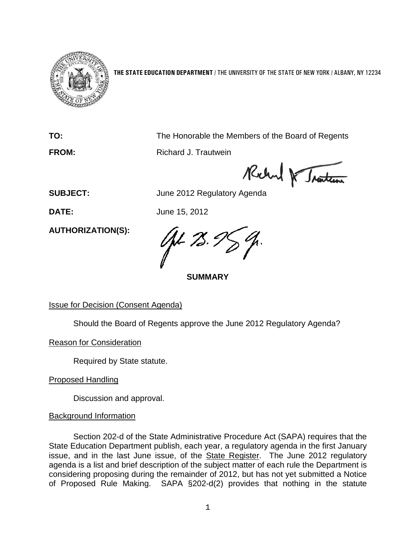

**THE STATE EDUCATION DEPARTMENT** / THE UNIVERSITY OF THE STATE OF NEW YORK / ALBANY, NY 12234

**TO:** The Honorable the Members of the Board of Regents

**FROM:** Richard J. Trautwein

**Relayed Regulatory Agenda**<br>SUBJECT: June 2012 Regulatory Agenda

**DATE:** June 15, 2012

**AUTHORIZATION(S):**

V-78.

**SUMMARY**

# Issue for Decision (Consent Agenda)

Should the Board of Regents approve the June 2012 Regulatory Agenda?

Reason for Consideration

Required by State statute.

Proposed Handling

Discussion and approval.

# Background Information

Section 202-d of the State Administrative Procedure Act (SAPA) requires that the State Education Department publish, each year, a regulatory agenda in the first January issue, and in the last June issue, of the State Register. The June 2012 regulatory agenda is a list and brief description of the subject matter of each rule the Department is considering proposing during the remainder of 2012, but has not yet submitted a Notice of Proposed Rule Making. SAPA §202-d(2) provides that nothing in the statute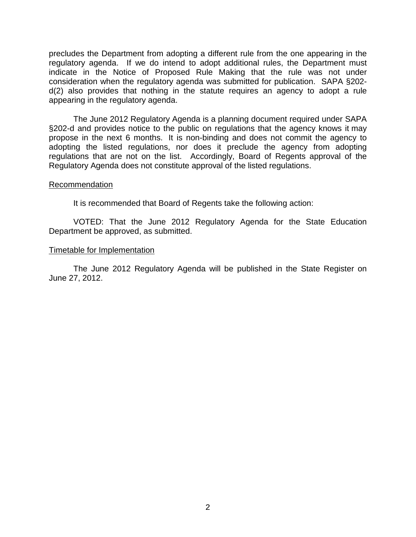precludes the Department from adopting a different rule from the one appearing in the regulatory agenda. If we do intend to adopt additional rules, the Department must indicate in the Notice of Proposed Rule Making that the rule was not under consideration when the regulatory agenda was submitted for publication. SAPA §202 d(2) also provides that nothing in the statute requires an agency to adopt a rule appearing in the regulatory agenda.

The June 2012 Regulatory Agenda is a planning document required under SAPA §202-d and provides notice to the public on regulations that the agency knows it may propose in the next 6 months. It is non-binding and does not commit the agency to adopting the listed regulations, nor does it preclude the agency from adopting regulations that are not on the list. Accordingly, Board of Regents approval of the Regulatory Agenda does not constitute approval of the listed regulations.

### Recommendation

It is recommended that Board of Regents take the following action:

VOTED: That the June 2012 Regulatory Agenda for the State Education Department be approved, as submitted.

### Timetable for Implementation

The June 2012 Regulatory Agenda will be published in the State Register on June 27, 2012.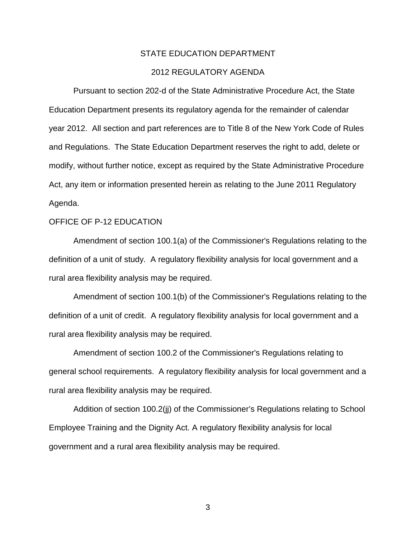# STATE EDUCATION DEPARTMENT

# 2012 REGULATORY AGENDA

Pursuant to section 202-d of the State Administrative Procedure Act, the State Education Department presents its regulatory agenda for the remainder of calendar year 2012. All section and part references are to Title 8 of the New York Code of Rules and Regulations. The State Education Department reserves the right to add, delete or modify, without further notice, except as required by the State Administrative Procedure Act, any item or information presented herein as relating to the June 2011 Regulatory Agenda.

#### OFFICE OF P-12 EDUCATION

Amendment of section 100.1(a) of the Commissioner's Regulations relating to the definition of a unit of study. A regulatory flexibility analysis for local government and a rural area flexibility analysis may be required.

Amendment of section 100.1(b) of the Commissioner's Regulations relating to the definition of a unit of credit. A regulatory flexibility analysis for local government and a rural area flexibility analysis may be required.

Amendment of section 100.2 of the Commissioner's Regulations relating to general school requirements. A regulatory flexibility analysis for local government and a rural area flexibility analysis may be required.

Addition of section 100.2(jj) of the Commissioner's Regulations relating to School Employee Training and the Dignity Act. A regulatory flexibility analysis for local government and a rural area flexibility analysis may be required.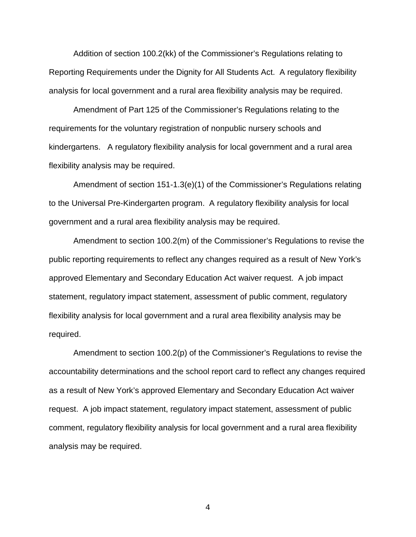Addition of section 100.2(kk) of the Commissioner's Regulations relating to Reporting Requirements under the Dignity for All Students Act. A regulatory flexibility analysis for local government and a rural area flexibility analysis may be required.

Amendment of Part 125 of the Commissioner's Regulations relating to the requirements for the voluntary registration of nonpublic nursery schools and kindergartens. A regulatory flexibility analysis for local government and a rural area flexibility analysis may be required.

Amendment of section 151-1.3(e)(1) of the Commissioner's Regulations relating to the Universal Pre-Kindergarten program. A regulatory flexibility analysis for local government and a rural area flexibility analysis may be required.

Amendment to section 100.2(m) of the Commissioner's Regulations to revise the public reporting requirements to reflect any changes required as a result of New York's approved Elementary and Secondary Education Act waiver request. A job impact statement, regulatory impact statement, assessment of public comment, regulatory flexibility analysis for local government and a rural area flexibility analysis may be required.

Amendment to section 100.2(p) of the Commissioner's Regulations to revise the accountability determinations and the school report card to reflect any changes required as a result of New York's approved Elementary and Secondary Education Act waiver request. A job impact statement, regulatory impact statement, assessment of public comment, regulatory flexibility analysis for local government and a rural area flexibility analysis may be required.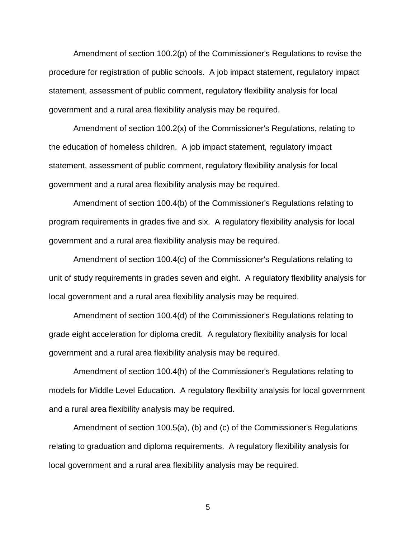Amendment of section 100.2(p) of the Commissioner's Regulations to revise the procedure for registration of public schools. A job impact statement, regulatory impact statement, assessment of public comment, regulatory flexibility analysis for local government and a rural area flexibility analysis may be required.

Amendment of section 100.2(x) of the Commissioner's Regulations, relating to the education of homeless children. A job impact statement, regulatory impact statement, assessment of public comment, regulatory flexibility analysis for local government and a rural area flexibility analysis may be required.

Amendment of section 100.4(b) of the Commissioner's Regulations relating to program requirements in grades five and six. A regulatory flexibility analysis for local government and a rural area flexibility analysis may be required.

Amendment of section 100.4(c) of the Commissioner's Regulations relating to unit of study requirements in grades seven and eight. A regulatory flexibility analysis for local government and a rural area flexibility analysis may be required.

Amendment of section 100.4(d) of the Commissioner's Regulations relating to grade eight acceleration for diploma credit. A regulatory flexibility analysis for local government and a rural area flexibility analysis may be required.

Amendment of section 100.4(h) of the Commissioner's Regulations relating to models for Middle Level Education. A regulatory flexibility analysis for local government and a rural area flexibility analysis may be required.

Amendment of section 100.5(a), (b) and (c) of the Commissioner's Regulations relating to graduation and diploma requirements. A regulatory flexibility analysis for local government and a rural area flexibility analysis may be required.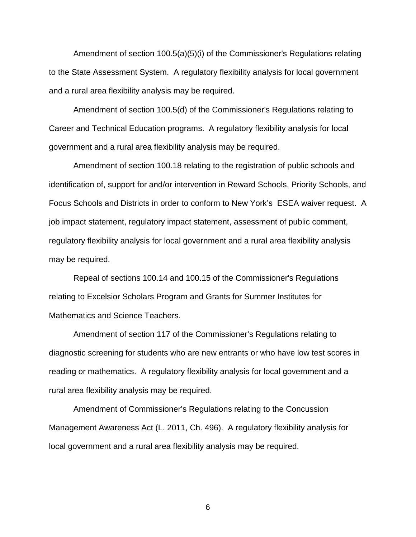Amendment of section 100.5(a)(5)(i) of the Commissioner's Regulations relating to the State Assessment System. A regulatory flexibility analysis for local government and a rural area flexibility analysis may be required.

 Amendment of section 100.5(d) of the Commissioner's Regulations relating to Career and Technical Education programs. A regulatory flexibility analysis for local government and a rural area flexibility analysis may be required.

Amendment of section 100.18 relating to the registration of public schools and identification of, support for and/or intervention in Reward Schools, Priority Schools, and Focus Schools and Districts in order to conform to New York's ESEA waiver request. A job impact statement, regulatory impact statement, assessment of public comment, regulatory flexibility analysis for local government and a rural area flexibility analysis may be required.

Repeal of sections 100.14 and 100.15 of the Commissioner's Regulations relating to Excelsior Scholars Program and Grants for Summer Institutes for Mathematics and Science Teachers.

Amendment of section 117 of the Commissioner's Regulations relating to diagnostic screening for students who are new entrants or who have low test scores in reading or mathematics. A regulatory flexibility analysis for local government and a rural area flexibility analysis may be required.

Amendment of Commissioner's Regulations relating to the Concussion Management Awareness Act (L. 2011, Ch. 496). A regulatory flexibility analysis for local government and a rural area flexibility analysis may be required.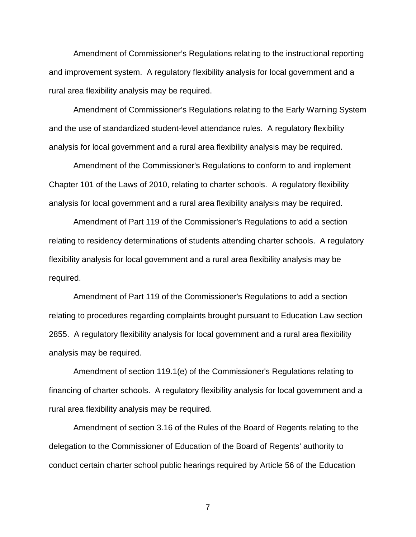Amendment of Commissioner's Regulations relating to the instructional reporting and improvement system. A regulatory flexibility analysis for local government and a rural area flexibility analysis may be required.

Amendment of Commissioner's Regulations relating to the Early Warning System and the use of standardized student-level attendance rules. A regulatory flexibility analysis for local government and a rural area flexibility analysis may be required.

Amendment of the Commissioner's Regulations to conform to and implement Chapter 101 of the Laws of 2010, relating to charter schools. A regulatory flexibility analysis for local government and a rural area flexibility analysis may be required.

Amendment of Part 119 of the Commissioner's Regulations to add a section relating to residency determinations of students attending charter schools. A regulatory flexibility analysis for local government and a rural area flexibility analysis may be required.

Amendment of Part 119 of the Commissioner's Regulations to add a section relating to procedures regarding complaints brought pursuant to Education Law section 2855. A regulatory flexibility analysis for local government and a rural area flexibility analysis may be required.

Amendment of section 119.1(e) of the Commissioner's Regulations relating to financing of charter schools. A regulatory flexibility analysis for local government and a rural area flexibility analysis may be required.

Amendment of section 3.16 of the Rules of the Board of Regents relating to the delegation to the Commissioner of Education of the Board of Regents' authority to conduct certain charter school public hearings required by Article 56 of the Education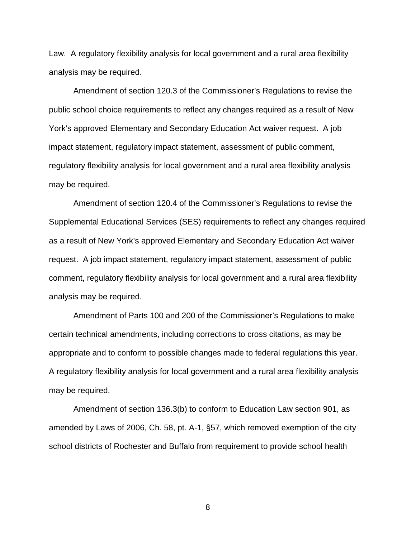Law. A regulatory flexibility analysis for local government and a rural area flexibility analysis may be required.

Amendment of section 120.3 of the Commissioner's Regulations to revise the public school choice requirements to reflect any changes required as a result of New York's approved Elementary and Secondary Education Act waiver request. A job impact statement, regulatory impact statement, assessment of public comment, regulatory flexibility analysis for local government and a rural area flexibility analysis may be required.

Amendment of section 120.4 of the Commissioner's Regulations to revise the Supplemental Educational Services (SES) requirements to reflect any changes required as a result of New York's approved Elementary and Secondary Education Act waiver request. A job impact statement, regulatory impact statement, assessment of public comment, regulatory flexibility analysis for local government and a rural area flexibility analysis may be required.

Amendment of Parts 100 and 200 of the Commissioner's Regulations to make certain technical amendments, including corrections to cross citations, as may be appropriate and to conform to possible changes made to federal regulations this year. A regulatory flexibility analysis for local government and a rural area flexibility analysis may be required.

Amendment of section 136.3(b) to conform to Education Law section 901, as amended by Laws of 2006, Ch. 58, pt. A-1, §57, which removed exemption of the city school districts of Rochester and Buffalo from requirement to provide school health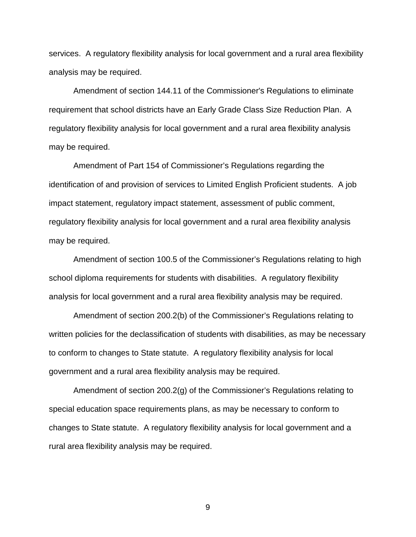services. A regulatory flexibility analysis for local government and a rural area flexibility analysis may be required.

Amendment of section 144.11 of the Commissioner's Regulations to eliminate requirement that school districts have an Early Grade Class Size Reduction Plan. A regulatory flexibility analysis for local government and a rural area flexibility analysis may be required.

Amendment of Part 154 of Commissioner's Regulations regarding the identification of and provision of services to Limited English Proficient students. A job impact statement, regulatory impact statement, assessment of public comment, regulatory flexibility analysis for local government and a rural area flexibility analysis may be required.

Amendment of section 100.5 of the Commissioner's Regulations relating to high school diploma requirements for students with disabilities. A regulatory flexibility analysis for local government and a rural area flexibility analysis may be required.

Amendment of section 200.2(b) of the Commissioner's Regulations relating to written policies for the declassification of students with disabilities, as may be necessary to conform to changes to State statute. A regulatory flexibility analysis for local government and a rural area flexibility analysis may be required.

Amendment of section 200.2(g) of the Commissioner's Regulations relating to special education space requirements plans, as may be necessary to conform to changes to State statute. A regulatory flexibility analysis for local government and a rural area flexibility analysis may be required.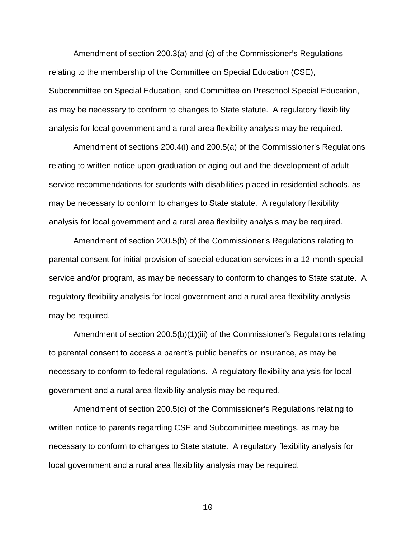Amendment of section 200.3(a) and (c) of the Commissioner's Regulations relating to the membership of the Committee on Special Education (CSE), Subcommittee on Special Education, and Committee on Preschool Special Education, as may be necessary to conform to changes to State statute. A regulatory flexibility analysis for local government and a rural area flexibility analysis may be required.

Amendment of sections 200.4(i) and 200.5(a) of the Commissioner's Regulations relating to written notice upon graduation or aging out and the development of adult service recommendations for students with disabilities placed in residential schools, as may be necessary to conform to changes to State statute. A regulatory flexibility analysis for local government and a rural area flexibility analysis may be required.

Amendment of section 200.5(b) of the Commissioner's Regulations relating to parental consent for initial provision of special education services in a 12-month special service and/or program, as may be necessary to conform to changes to State statute. A regulatory flexibility analysis for local government and a rural area flexibility analysis may be required.

Amendment of section 200.5(b)(1)(iii) of the Commissioner's Regulations relating to parental consent to access a parent's public benefits or insurance, as may be necessary to conform to federal regulations. A regulatory flexibility analysis for local government and a rural area flexibility analysis may be required.

Amendment of section 200.5(c) of the Commissioner's Regulations relating to written notice to parents regarding CSE and Subcommittee meetings, as may be necessary to conform to changes to State statute. A regulatory flexibility analysis for local government and a rural area flexibility analysis may be required.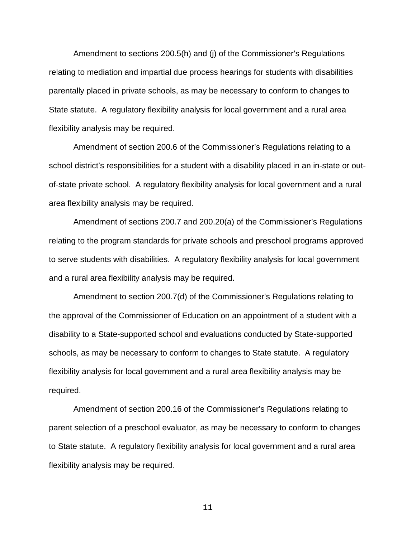Amendment to sections 200.5(h) and (j) of the Commissioner's Regulations relating to mediation and impartial due process hearings for students with disabilities parentally placed in private schools, as may be necessary to conform to changes to State statute. A regulatory flexibility analysis for local government and a rural area flexibility analysis may be required.

Amendment of section 200.6 of the Commissioner's Regulations relating to a school district's responsibilities for a student with a disability placed in an in-state or outof-state private school. A regulatory flexibility analysis for local government and a rural area flexibility analysis may be required.

Amendment of sections 200.7 and 200.20(a) of the Commissioner's Regulations relating to the program standards for private schools and preschool programs approved to serve students with disabilities. A regulatory flexibility analysis for local government and a rural area flexibility analysis may be required.

Amendment to section 200.7(d) of the Commissioner's Regulations relating to the approval of the Commissioner of Education on an appointment of a student with a disability to a State-supported school and evaluations conducted by State-supported schools, as may be necessary to conform to changes to State statute. A regulatory flexibility analysis for local government and a rural area flexibility analysis may be required.

Amendment of section 200.16 of the Commissioner's Regulations relating to parent selection of a preschool evaluator, as may be necessary to conform to changes to State statute. A regulatory flexibility analysis for local government and a rural area flexibility analysis may be required.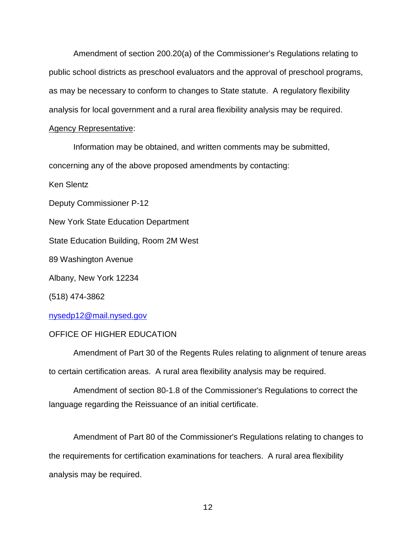Amendment of section 200.20(a) of the Commissioner's Regulations relating to public school districts as preschool evaluators and the approval of preschool programs, as may be necessary to conform to changes to State statute. A regulatory flexibility analysis for local government and a rural area flexibility analysis may be required.

# Agency Representative:

Information may be obtained, and written comments may be submitted,

concerning any of the above proposed amendments by contacting:

Ken Slentz

Deputy Commissioner P-12

New York State Education Department

State Education Building, Room 2M West

89 Washington Avenue

Albany, New York 12234

(518) 474-3862

nysedp12@mail.nysed.gov

# OFFICE OF HIGHER EDUCATION

Amendment of Part 30 of the Regents Rules relating to alignment of tenure areas to certain certification areas. A rural area flexibility analysis may be required.

Amendment of section 80-1.8 of the Commissioner's Regulations to correct the language regarding the Reissuance of an initial certificate.

Amendment of Part 80 of the Commissioner's Regulations relating to changes to the requirements for certification examinations for teachers. A rural area flexibility analysis may be required.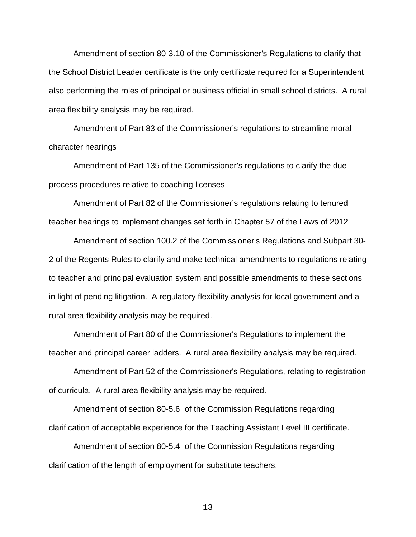Amendment of section 80-3.10 of the Commissioner's Regulations to clarify that the School District Leader certificate is the only certificate required for a Superintendent also performing the roles of principal or business official in small school districts. A rural area flexibility analysis may be required.

Amendment of Part 83 of the Commissioner's regulations to streamline moral character hearings

Amendment of Part 135 of the Commissioner's regulations to clarify the due process procedures relative to coaching licenses

Amendment of Part 82 of the Commissioner's regulations relating to tenured teacher hearings to implement changes set forth in Chapter 57 of the Laws of 2012

Amendment of section 100.2 of the Commissioner's Regulations and Subpart 30- 2 of the Regents Rules to clarify and make technical amendments to regulations relating to teacher and principal evaluation system and possible amendments to these sections in light of pending litigation. A regulatory flexibility analysis for local government and a rural area flexibility analysis may be required.

Amendment of Part 80 of the Commissioner's Regulations to implement the teacher and principal career ladders. A rural area flexibility analysis may be required.

Amendment of Part 52 of the Commissioner's Regulations, relating to registration of curricula. A rural area flexibility analysis may be required.

Amendment of section 80-5.6 of the Commission Regulations regarding clarification of acceptable experience for the Teaching Assistant Level III certificate.

Amendment of section 80-5.4 of the Commission Regulations regarding clarification of the length of employment for substitute teachers.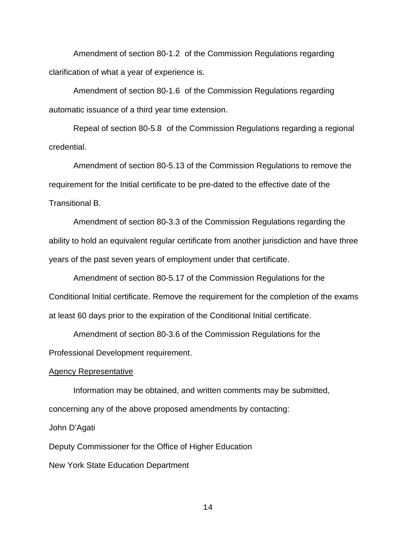Amendment of section 80-1.2 of the Commission Regulations regarding clarification of what a year of experience is.

Amendment of section 80-1.6 of the Commission Regulations regarding automatic issuance of a third year time extension.

Repeal of section 80-5.8 of the Commission Regulations regarding a regional credential.

Amendment of section 80-5.13 of the Commission Regulations to remove the requirement for the Initial certificate to be pre-dated to the effective date of the Transitional B.

Amendment of section 80-3.3 of the Commission Regulations regarding the ability to hold an equivalent regular certificate from another jurisdiction and have three years of the past seven years of employment under that certificate.

Amendment of section 80-5.17 of the Commission Regulations for the Conditional Initial certificate. Remove the requirement for the completion of the exams at least 60 days prior to the expiration of the Conditional Initial certificate.

Amendment of section 80-3.6 of the Commission Regulations for the Professional Development requirement.

# Agency Representative

Information may be obtained, and written comments may be submitted, concerning any of the above proposed amendments by contacting:

John D'Agati

Deputy Commissioner for the Office of Higher Education

New York State Education Department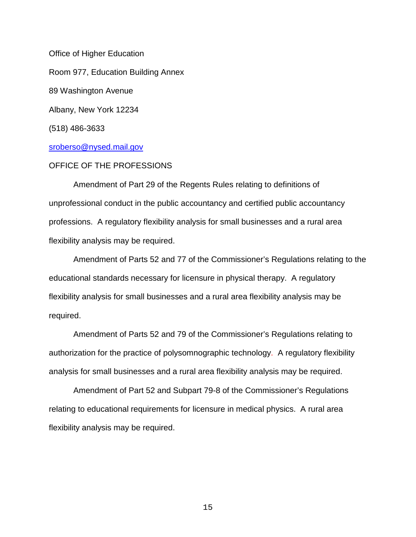Office of Higher Education Room 977, Education Building Annex 89 Washington Avenue Albany, New York 12234 (518) 486-3633

# [sroberso@nysed.mail.gov](mailto:sroberso@nysed.mail.gov)

# OFFICE OF THE PROFESSIONS

Amendment of Part 29 of the Regents Rules relating to definitions of unprofessional conduct in the public accountancy and certified public accountancy professions. A regulatory flexibility analysis for small businesses and a rural area flexibility analysis may be required.

Amendment of Parts 52 and 77 of the Commissioner's Regulations relating to the educational standards necessary for licensure in physical therapy. A regulatory flexibility analysis for small businesses and a rural area flexibility analysis may be required.

Amendment of Parts 52 and 79 of the Commissioner's Regulations relating to authorization for the practice of polysomnographic technology. A regulatory flexibility analysis for small businesses and a rural area flexibility analysis may be required.

Amendment of Part 52 and Subpart 79-8 of the Commissioner's Regulations relating to educational requirements for licensure in medical physics. A rural area flexibility analysis may be required.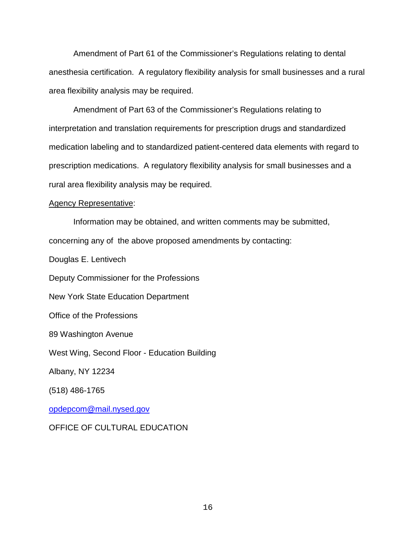Amendment of Part 61 of the Commissioner's Regulations relating to dental anesthesia certification. A regulatory flexibility analysis for small businesses and a rural area flexibility analysis may be required.

Amendment of Part 63 of the Commissioner's Regulations relating to interpretation and translation requirements for prescription drugs and standardized medication labeling and to standardized patient-centered data elements with regard to prescription medications. A regulatory flexibility analysis for small businesses and a rural area flexibility analysis may be required.

#### Agency Representative:

Information may be obtained, and written comments may be submitted, concerning any of the above proposed amendments by contacting:

Douglas E. Lentivech Deputy Commissioner for the Professions New York State Education Department Office of the Professions 89 Washington Avenue West Wing, Second Floor - Education Building Albany, NY 12234 (518) 486-1765

[opdepcom@mail.nysed.gov](mailto:opopr@mail.nysed.gov)

# OFFICE OF CULTURAL EDUCATION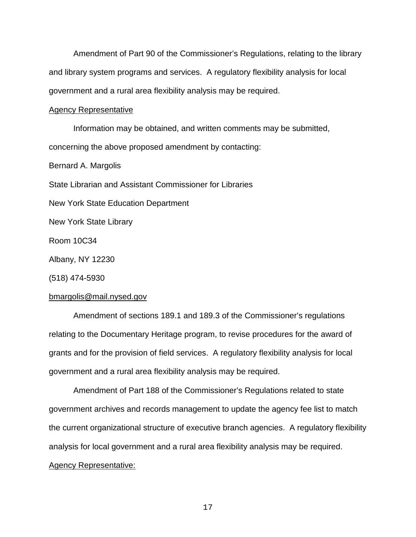Amendment of Part 90 of the Commissioner's Regulations, relating to the library and library system programs and services. A regulatory flexibility analysis for local government and a rural area flexibility analysis may be required.

#### Agency Representative

Information may be obtained, and written comments may be submitted, concerning the above proposed amendment by contacting:

Bernard A. Margolis

State Librarian and Assistant Commissioner for Libraries

New York State Education Department

New York State Library

Room 10C34

Albany, NY 12230

(518) 474-5930

#### bmargolis@mail.nysed.gov

Amendment of sections 189.1 and 189.3 of the Commissioner's regulations relating to the Documentary Heritage program, to revise procedures for the award of grants and for the provision of field services. A regulatory flexibility analysis for local government and a rural area flexibility analysis may be required.

Amendment of Part 188 of the Commissioner's Regulations related to state government archives and records management to update the agency fee list to match the current organizational structure of executive branch agencies. A regulatory flexibility analysis for local government and a rural area flexibility analysis may be required. Agency Representative: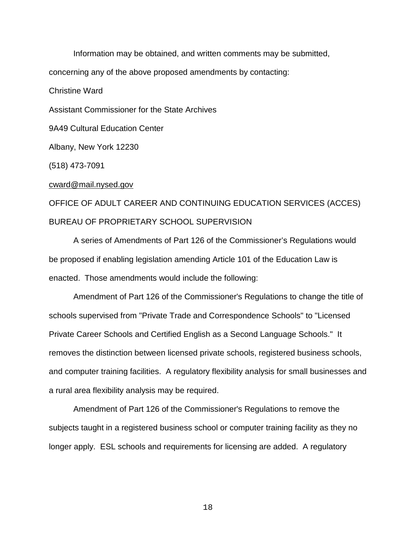Information may be obtained, and written comments may be submitted, concerning any of the above proposed amendments by contacting: Christine Ward Assistant Commissioner for the State Archives 9A49 Cultural Education Center Albany, New York 12230 (518) 473-7091 cward@mail.nysed.gov

# OFFICE OF ADULT CAREER AND CONTINUING EDUCATION SERVICES (ACCES) BUREAU OF PROPRIETARY SCHOOL SUPERVISION

A series of Amendments of Part 126 of the Commissioner's Regulations would be proposed if enabling legislation amending Article 101 of the Education Law is enacted. Those amendments would include the following:

Amendment of Part 126 of the Commissioner's Regulations to change the title of schools supervised from "Private Trade and Correspondence Schools" to "Licensed Private Career Schools and Certified English as a Second Language Schools." It removes the distinction between licensed private schools, registered business schools, and computer training facilities. A regulatory flexibility analysis for small businesses and a rural area flexibility analysis may be required.

Amendment of Part 126 of the Commissioner's Regulations to remove the subjects taught in a registered business school or computer training facility as they no longer apply. ESL schools and requirements for licensing are added. A regulatory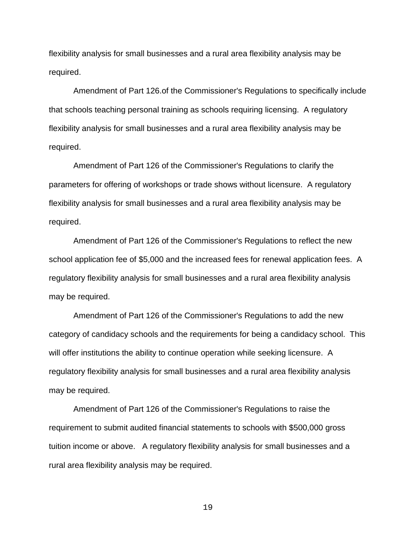flexibility analysis for small businesses and a rural area flexibility analysis may be required.

Amendment of Part 126.of the Commissioner's Regulations to specifically include that schools teaching personal training as schools requiring licensing. A regulatory flexibility analysis for small businesses and a rural area flexibility analysis may be required.

Amendment of Part 126 of the Commissioner's Regulations to clarify the parameters for offering of workshops or trade shows without licensure. A regulatory flexibility analysis for small businesses and a rural area flexibility analysis may be required.

Amendment of Part 126 of the Commissioner's Regulations to reflect the new school application fee of \$5,000 and the increased fees for renewal application fees. A regulatory flexibility analysis for small businesses and a rural area flexibility analysis may be required.

Amendment of Part 126 of the Commissioner's Regulations to add the new category of candidacy schools and the requirements for being a candidacy school. This will offer institutions the ability to continue operation while seeking licensure. A regulatory flexibility analysis for small businesses and a rural area flexibility analysis may be required.

 Amendment of Part 126 of the Commissioner's Regulations to raise the requirement to submit audited financial statements to schools with \$500,000 gross tuition income or above. A regulatory flexibility analysis for small businesses and a rural area flexibility analysis may be required.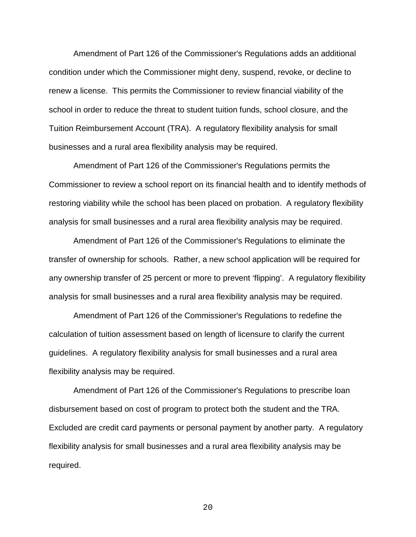Amendment of Part 126 of the Commissioner's Regulations adds an additional condition under which the Commissioner might deny, suspend, revoke, or decline to renew a license. This permits the Commissioner to review financial viability of the school in order to reduce the threat to student tuition funds, school closure, and the Tuition Reimbursement Account (TRA). A regulatory flexibility analysis for small businesses and a rural area flexibility analysis may be required.

Amendment of Part 126 of the Commissioner's Regulations permits the Commissioner to review a school report on its financial health and to identify methods of restoring viability while the school has been placed on probation. A regulatory flexibility analysis for small businesses and a rural area flexibility analysis may be required.

Amendment of Part 126 of the Commissioner's Regulations to eliminate the transfer of ownership for schools. Rather, a new school application will be required for any ownership transfer of 25 percent or more to prevent 'flipping'. A regulatory flexibility analysis for small businesses and a rural area flexibility analysis may be required.

Amendment of Part 126 of the Commissioner's Regulations to redefine the calculation of tuition assessment based on length of licensure to clarify the current guidelines. A regulatory flexibility analysis for small businesses and a rural area flexibility analysis may be required.

Amendment of Part 126 of the Commissioner's Regulations to prescribe loan disbursement based on cost of program to protect both the student and the TRA. Excluded are credit card payments or personal payment by another party. A regulatory flexibility analysis for small businesses and a rural area flexibility analysis may be required.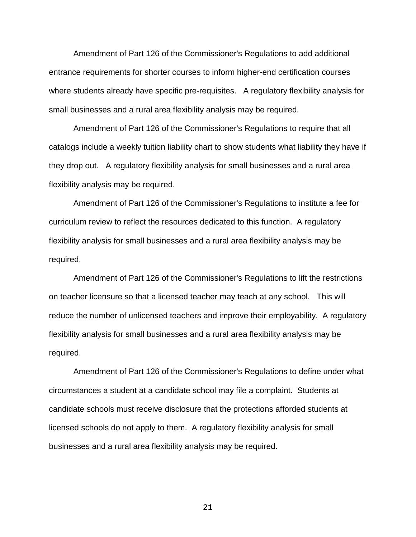Amendment of Part 126 of the Commissioner's Regulations to add additional entrance requirements for shorter courses to inform higher-end certification courses where students already have specific pre-requisites. A regulatory flexibility analysis for small businesses and a rural area flexibility analysis may be required.

Amendment of Part 126 of the Commissioner's Regulations to require that all catalogs include a weekly tuition liability chart to show students what liability they have if they drop out. A regulatory flexibility analysis for small businesses and a rural area flexibility analysis may be required.

Amendment of Part 126 of the Commissioner's Regulations to institute a fee for curriculum review to reflect the resources dedicated to this function. A regulatory flexibility analysis for small businesses and a rural area flexibility analysis may be required.

Amendment of Part 126 of the Commissioner's Regulations to lift the restrictions on teacher licensure so that a licensed teacher may teach at any school. This will reduce the number of unlicensed teachers and improve their employability. A regulatory flexibility analysis for small businesses and a rural area flexibility analysis may be required.

Amendment of Part 126 of the Commissioner's Regulations to define under what circumstances a student at a candidate school may file a complaint. Students at candidate schools must receive disclosure that the protections afforded students at licensed schools do not apply to them. A regulatory flexibility analysis for small businesses and a rural area flexibility analysis may be required.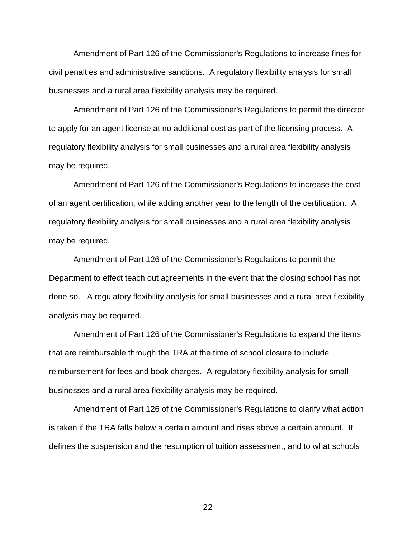Amendment of Part 126 of the Commissioner's Regulations to increase fines for civil penalties and administrative sanctions. A regulatory flexibility analysis for small businesses and a rural area flexibility analysis may be required.

Amendment of Part 126 of the Commissioner's Regulations to permit the director to apply for an agent license at no additional cost as part of the licensing process. A regulatory flexibility analysis for small businesses and a rural area flexibility analysis may be required.

Amendment of Part 126 of the Commissioner's Regulations to increase the cost of an agent certification, while adding another year to the length of the certification. A regulatory flexibility analysis for small businesses and a rural area flexibility analysis may be required.

Amendment of Part 126 of the Commissioner's Regulations to permit the Department to effect teach out agreements in the event that the closing school has not done so. A regulatory flexibility analysis for small businesses and a rural area flexibility analysis may be required.

Amendment of Part 126 of the Commissioner's Regulations to expand the items that are reimbursable through the TRA at the time of school closure to include reimbursement for fees and book charges. A regulatory flexibility analysis for small businesses and a rural area flexibility analysis may be required.

Amendment of Part 126 of the Commissioner's Regulations to clarify what action is taken if the TRA falls below a certain amount and rises above a certain amount. It defines the suspension and the resumption of tuition assessment, and to what schools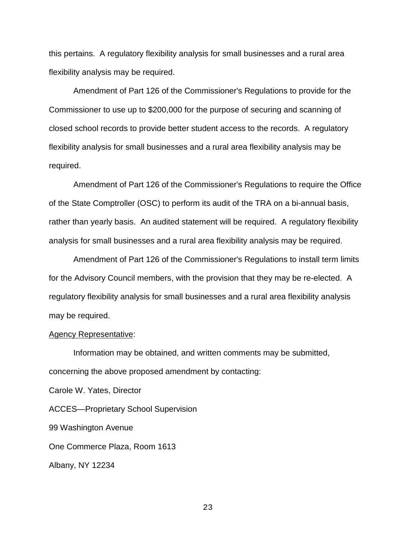this pertains. A regulatory flexibility analysis for small businesses and a rural area flexibility analysis may be required.

Amendment of Part 126 of the Commissioner's Regulations to provide for the Commissioner to use up to \$200,000 for the purpose of securing and scanning of closed school records to provide better student access to the records. A regulatory flexibility analysis for small businesses and a rural area flexibility analysis may be required.

Amendment of Part 126 of the Commissioner's Regulations to require the Office of the State Comptroller (OSC) to perform its audit of the TRA on a bi-annual basis, rather than yearly basis. An audited statement will be required. A regulatory flexibility analysis for small businesses and a rural area flexibility analysis may be required.

Amendment of Part 126 of the Commissioner's Regulations to install term limits for the Advisory Council members, with the provision that they may be re-elected. A regulatory flexibility analysis for small businesses and a rural area flexibility analysis may be required.

#### Agency Representative:

Information may be obtained, and written comments may be submitted, concerning the above proposed amendment by contacting:

Carole W. Yates, Director

ACCES—Proprietary School Supervision

99 Washington Avenue

One Commerce Plaza, Room 1613

Albany, NY 12234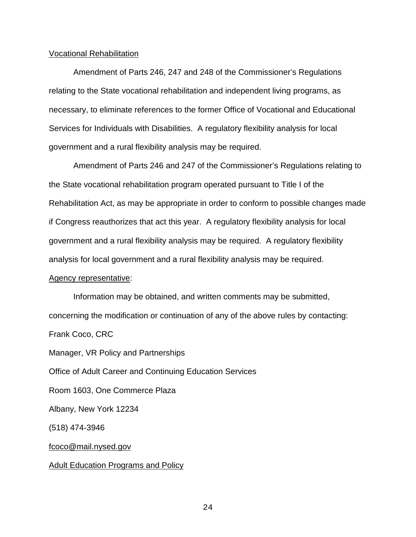#### Vocational Rehabilitation

Amendment of Parts 246, 247 and 248 of the Commissioner's Regulations relating to the State vocational rehabilitation and independent living programs, as necessary, to eliminate references to the former Office of Vocational and Educational Services for Individuals with Disabilities. A regulatory flexibility analysis for local government and a rural flexibility analysis may be required.

Amendment of Parts 246 and 247 of the Commissioner's Regulations relating to the State vocational rehabilitation program operated pursuant to Title I of the Rehabilitation Act, as may be appropriate in order to conform to possible changes made if Congress reauthorizes that act this year. A regulatory flexibility analysis for local government and a rural flexibility analysis may be required. A regulatory flexibility analysis for local government and a rural flexibility analysis may be required.

#### Agency representative:

Information may be obtained, and written comments may be submitted, concerning the modification or continuation of any of the above rules by contacting: Frank Coco, CRC Manager, VR Policy and Partnerships Office of Adult Career and Continuing Education Services Room 1603, One Commerce Plaza Albany, New York 12234 (518) 474-3946 [fcoco@mail.nysed.gov](mailto:fcoco@mail.nysed.gov) Adult Education Programs and Policy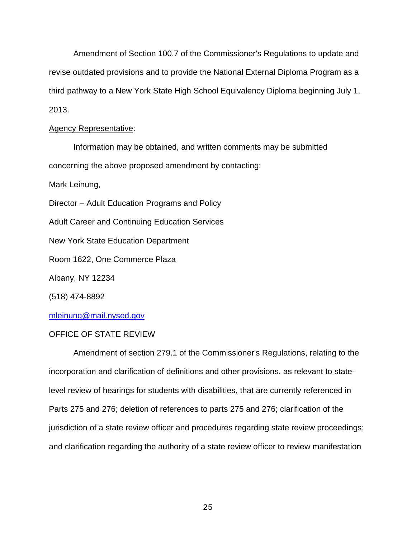Amendment of Section 100.7 of the Commissioner's Regulations to update and revise outdated provisions and to provide the National External Diploma Program as a third pathway to a New York State High School Equivalency Diploma beginning July 1, 2013.

### Agency Representative:

Information may be obtained, and written comments may be submitted concerning the above proposed amendment by contacting: Mark Leinung,

Director – Adult Education Programs and Policy

Adult Career and Continuing Education Services

New York State Education Department

Room 1622, One Commerce Plaza

Albany, NY 12234

(518) 474-8892

# [mleinung@mail.nysed.gov](mailto:mleinung@mail.nysed.gov)

# OFFICE OF STATE REVIEW

Amendment of section 279.1 of the Commissioner's Regulations, relating to the incorporation and clarification of definitions and other provisions, as relevant to statelevel review of hearings for students with disabilities, that are currently referenced in Parts 275 and 276; deletion of references to parts 275 and 276; clarification of the jurisdiction of a state review officer and procedures regarding state review proceedings; and clarification regarding the authority of a state review officer to review manifestation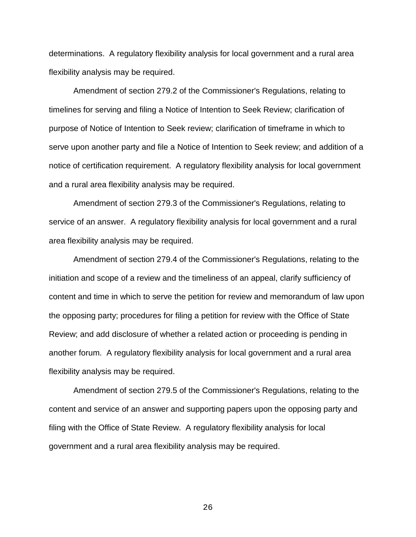determinations. A regulatory flexibility analysis for local government and a rural area flexibility analysis may be required.

Amendment of section 279.2 of the Commissioner's Regulations, relating to timelines for serving and filing a Notice of Intention to Seek Review; clarification of purpose of Notice of Intention to Seek review; clarification of timeframe in which to serve upon another party and file a Notice of Intention to Seek review; and addition of a notice of certification requirement. A regulatory flexibility analysis for local government and a rural area flexibility analysis may be required.

Amendment of section 279.3 of the Commissioner's Regulations, relating to service of an answer. A regulatory flexibility analysis for local government and a rural area flexibility analysis may be required.

Amendment of section 279.4 of the Commissioner's Regulations, relating to the initiation and scope of a review and the timeliness of an appeal, clarify sufficiency of content and time in which to serve the petition for review and memorandum of law upon the opposing party; procedures for filing a petition for review with the Office of State Review; and add disclosure of whether a related action or proceeding is pending in another forum. A regulatory flexibility analysis for local government and a rural area flexibility analysis may be required.

Amendment of section 279.5 of the Commissioner's Regulations, relating to the content and service of an answer and supporting papers upon the opposing party and filing with the Office of State Review. A regulatory flexibility analysis for local government and a rural area flexibility analysis may be required.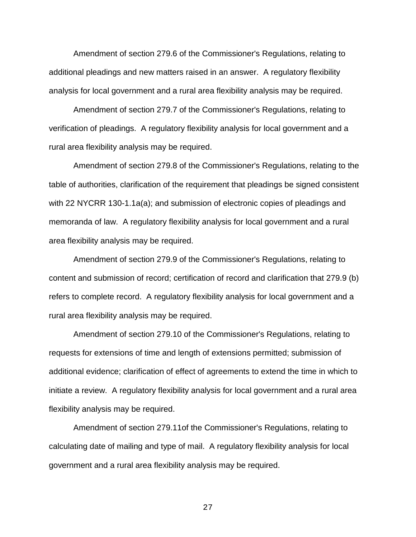Amendment of section 279.6 of the Commissioner's Regulations, relating to additional pleadings and new matters raised in an answer. A regulatory flexibility analysis for local government and a rural area flexibility analysis may be required.

Amendment of section 279.7 of the Commissioner's Regulations, relating to verification of pleadings. A regulatory flexibility analysis for local government and a rural area flexibility analysis may be required.

Amendment of section 279.8 of the Commissioner's Regulations, relating to the table of authorities, clarification of the requirement that pleadings be signed consistent with 22 NYCRR 130-1.1a(a); and submission of electronic copies of pleadings and memoranda of law. A regulatory flexibility analysis for local government and a rural area flexibility analysis may be required.

Amendment of section 279.9 of the Commissioner's Regulations, relating to content and submission of record; certification of record and clarification that 279.9 (b) refers to complete record. A regulatory flexibility analysis for local government and a rural area flexibility analysis may be required.

Amendment of section 279.10 of the Commissioner's Regulations, relating to requests for extensions of time and length of extensions permitted; submission of additional evidence; clarification of effect of agreements to extend the time in which to initiate a review. A regulatory flexibility analysis for local government and a rural area flexibility analysis may be required.

Amendment of section 279.11of the Commissioner's Regulations, relating to calculating date of mailing and type of mail. A regulatory flexibility analysis for local government and a rural area flexibility analysis may be required.